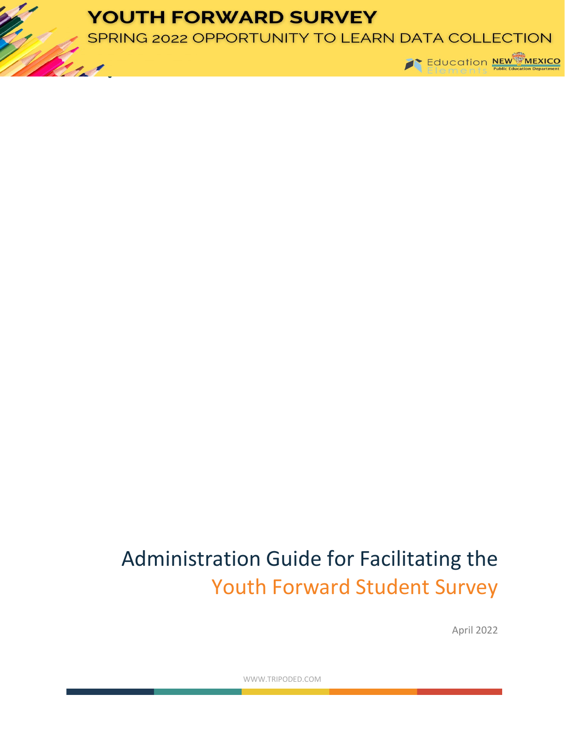## **YOUTH FORWARD SURVEY**

SPRING 2022 OPPORTUNITY TO LEARN DATA COLLECTION



# Administration Guide for Facilitating the Youth Forward Student Survey

April 2022

WWW.TRIPODED.COM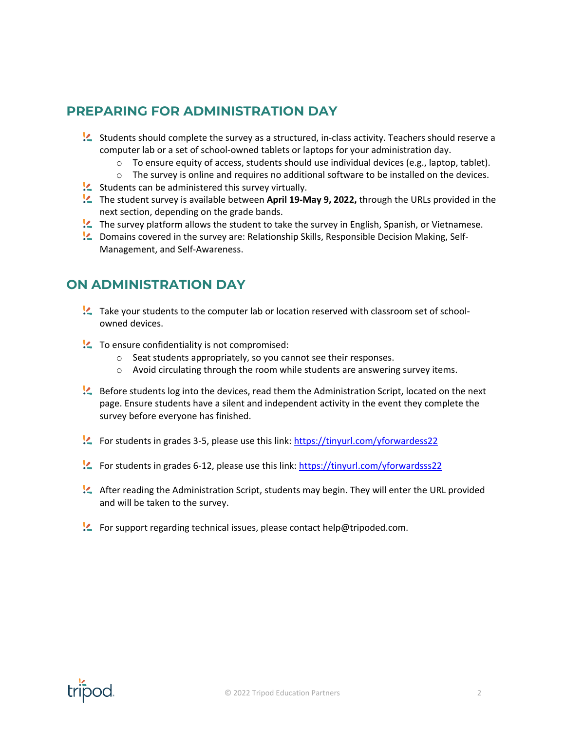### **PREPARING FOR ADMINISTRATION DAY**

- Students should complete the survey as a structured, in-class activity. Teachers should reserve a computer lab or a set of school-owned tablets or laptops for your administration day.
	- $\circ$  To ensure equity of access, students should use individual devices (e.g., laptop, tablet).
	- $\circ$  The survey is online and requires no additional software to be installed on the devices.
- $\mathcal{L}$  Students can be administered this survey virtually.
- The student survey is available between **April 19-May 9, 2022,** through the URLs provided in the next section, depending on the grade bands.
- **!** The survey platform allows the student to take the survey in English, Spanish, or Vietnamese.
- Domains covered in the survey are: Relationship Skills, Responsible Decision Making, Self-Management, and Self-Awareness.

#### **ON ADMINISTRATION DAY**

- Take your students to the computer lab or location reserved with classroom set of schoolowned devices.
- To ensure confidentiality is not compromised:
	- o Seat students appropriately, so you cannot see their responses.
	- o Avoid circulating through the room while students are answering survey items.
- Before students log into the devices, read them the Administration Script, located on the next page. Ensure students have a silent and independent activity in the event they complete the survey before everyone has finished.
- For students in grades 3-5, please use this link[: https://tinyurl.com/yforwardess22](https://tinyurl.com/yforwardess22)
- For students in grades 6-12, please use this link:<https://tinyurl.com/yforwardsss22>
- After reading the Administration Script, students may begin. They will enter the URL provided and will be taken to the survey.
- For support regarding technical issues, please contact help@tripoded.com.